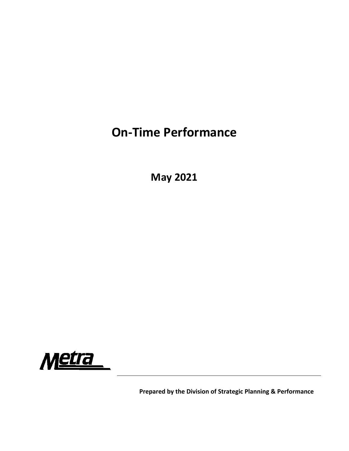## **On‐Time Performance**

**May 2021**



**Prepared by the Division of Strategic Planning & Performance**